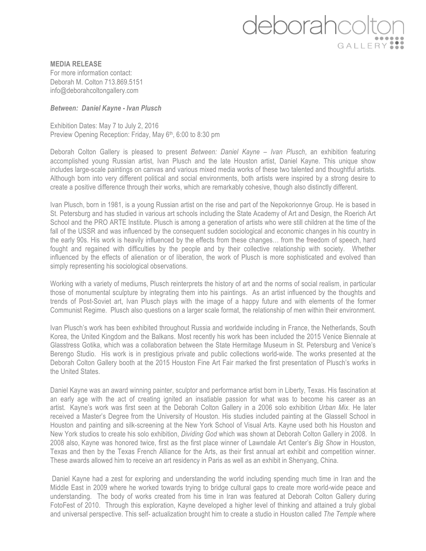## deborahcd GALLERY

**MEDIA RELEASE** For more information contact: Deborah M. Colton 713.869.5151 info@deborahcoltongallery.com

## *Between: Daniel Kayne - Ivan Plusch*

Exhibition Dates: May 7 to July 2, 2016 Preview Opening Reception: Friday, May 6<sup>th</sup>, 6:00 to 8:30 pm

Deborah Colton Gallery is pleased to present *Between: Daniel Kayne – Ivan Plusch*, an exhibition featuring accomplished young Russian artist, Ivan Plusch and the late Houston artist, Daniel Kayne. This unique show includes large-scale paintings on canvas and various mixed media works of these two talented and thoughtful artists. Although born into very different political and social environments, both artists were inspired by a strong desire to create a positive difference through their works, which are remarkably cohesive, though also distinctly different.

Ivan Plusch, born in 1981, is a young Russian artist on the rise and part of the Nepokorionnye Group. He is based in St. Petersburg and has studied in various art schools including the State Academy of Art and Design, the Roerich Art School and the PRO ARTE Institute. Plusch is among a generation of artists who were still children at the time of the fall of the USSR and was influenced by the consequent sudden sociological and economic changes in his country in the early 90s. His work is heavily influenced by the effects from these changes… from the freedom of speech, hard fought and regained with difficulties by the people and by their collective relationship with society. Whether influenced by the effects of alienation or of liberation, the work of Plusch is more sophisticated and evolved than simply representing his sociological observations.

Working with a variety of mediums, Plusch reinterprets the history of art and the norms of social realism, in particular those of monumental sculpture by integrating them into his paintings. As an artist influenced by the thoughts and trends of Post-Soviet art, Ivan Plusch plays with the image of a happy future and with elements of the former Communist Regime. Plusch also questions on a larger scale format, the relationship of men within their environment.

Ivan Plusch's work has been exhibited throughout Russia and worldwide including in France, the Netherlands, South Korea, the United Kingdom and the Balkans. Most recently his work has been included the 2015 Venice Biennale at Glasstress Gotika, which was a collaboration between the State Hermitage Museum in St. Petersburg and Venice's Berengo Studio. His work is in prestigious private and public collections world-wide. The works presented at the Deborah Colton Gallery booth at the 2015 Houston Fine Art Fair marked the first presentation of Plusch's works in the United States.

Daniel Kayne was an award winning painter, sculptor and performance artist born in Liberty, Texas. His fascination at an early age with the act of creating ignited an insatiable passion for what was to become his career as an artist. Kayne's work was first seen at the Deborah Colton Gallery in a 2006 solo exhibition *Urban Mix*. He later received a Master's Degree from the University of Houston. His studies included painting at the Glassell School in Houston and painting and silk-screening at the New York School of Visual Arts. Kayne used both his Houston and New York studios to create his solo exhibition, *Dividing God* which was shown at Deborah Colton Gallery in 2008. In 2008 also, Kayne was honored twice, first as the first place winner of Lawndale Art Center's *Big Show* in Houston, Texas and then by the Texas French Alliance for the Arts, as their first annual art exhibit and competition winner. These awards allowed him to receive an art residency in Paris as well as an exhibit in Shenyang, China.

Daniel Kayne had a zest for exploring and understanding the world including spending much time in Iran and the Middle East in 2009 where he worked towards trying to bridge cultural gaps to create more world-wide peace and understanding. The body of works created from his time in Iran was featured at Deborah Colton Gallery during FotoFest of 2010. Through this exploration, Kayne developed a higher level of thinking and attained a truly global and universal perspective. This self- actualization brought him to create a studio in Houston called *The Temple* where